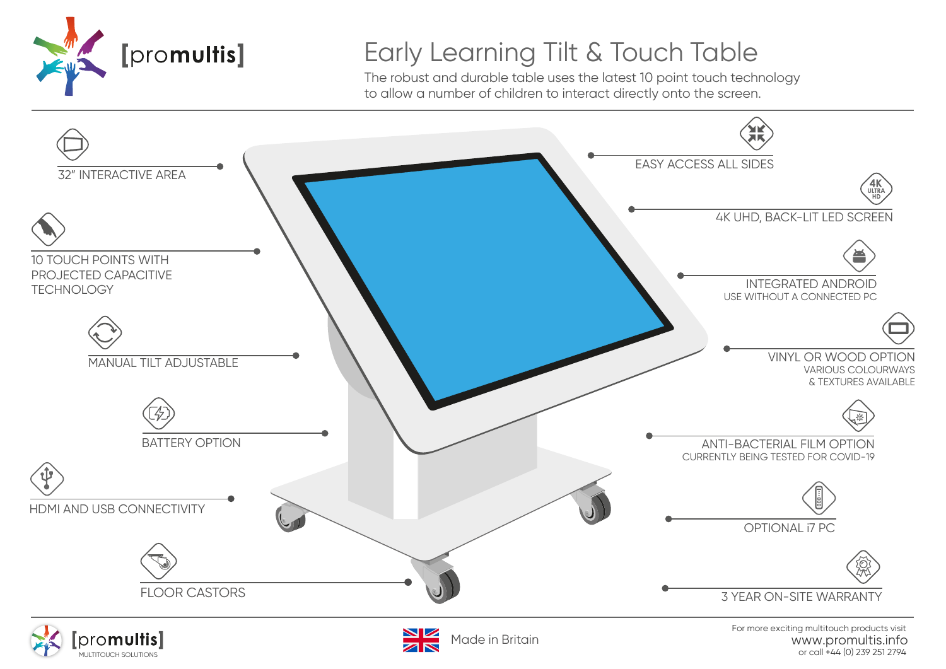

## Early Learning Tilt & Touch Table

The robust and durable table uses the latest 10 point touch technology to allow a number of children to interact directly onto the screen.



www.promultis.info<br>or call +44 (0) 239 251 2794 MULTITOUCH SOLUTIONS COLUTIONS CONTRACT AND RESERVED TO A SERVED AND RESERVED TO A SERVED A SOLUTIONS OF CALL +44 (0) 239 251 2794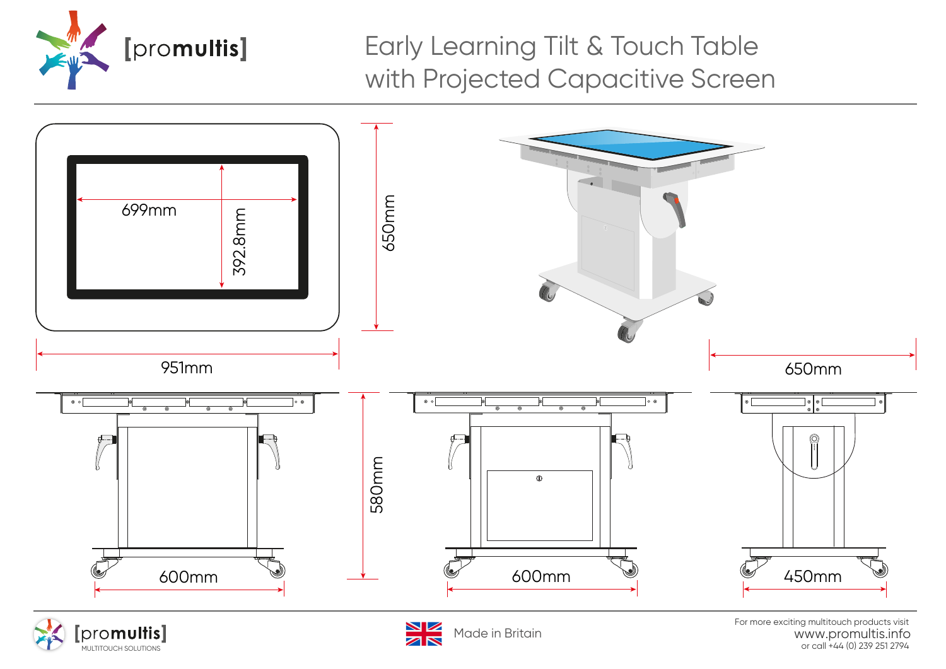

Early Learning Tilt & Touch Table with Projected Capacitive Screen







www.promultis.info For more exciting multitouch products visit<br>
Made in Britain www.promultis.informultisters<br>
or call +44 (0) 239 251 2794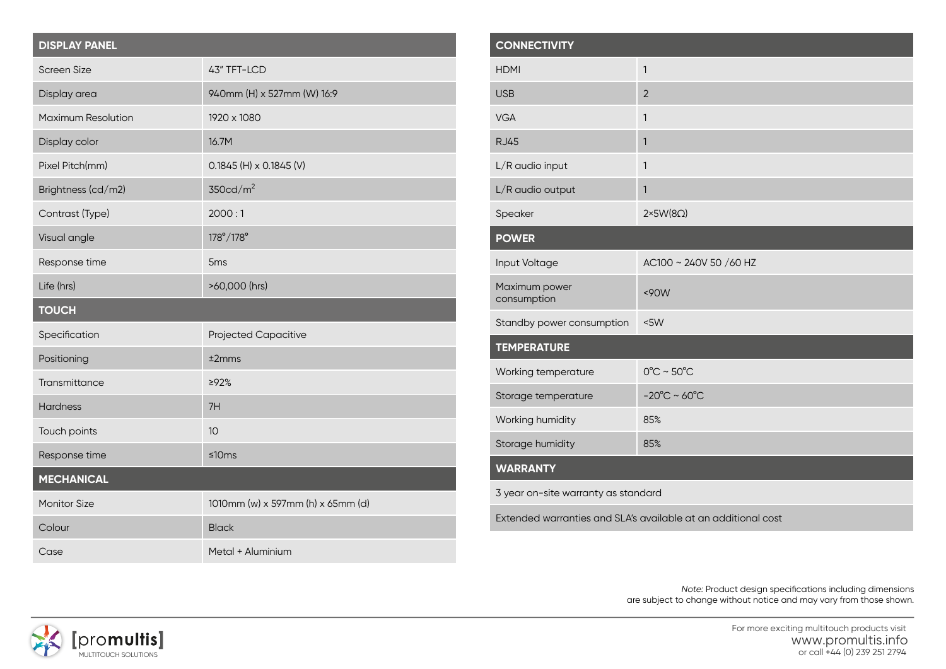| <b>DISPLAY PANEL</b>      |                                   |  |
|---------------------------|-----------------------------------|--|
| <b>Screen Size</b>        | 43" TFT-LCD                       |  |
| Display area              | 940mm (H) x 527mm (W) 16:9        |  |
| <b>Maximum Resolution</b> | 1920 x 1080                       |  |
| Display color             | 16.7M                             |  |
| Pixel Pitch(mm)           | $0.1845$ (H) x 0.1845 (V)         |  |
| Brightness (cd/m2)        | 350cd/m <sup>2</sup>              |  |
| Contrast (Type)           | 2000:1                            |  |
| Visual angle              | 178°/178°                         |  |
| Response time             | 5 <sub>ms</sub>                   |  |
| Life (hrs)                | >60,000 (hrs)                     |  |
| <b>TOUCH</b>              |                                   |  |
| Specification             | <b>Projected Capacitive</b>       |  |
| Positioning               | $±2$ mms                          |  |
| Transmittance             | ≥92%                              |  |
| <b>Hardness</b>           | 7H                                |  |
| Touch points              | 10                                |  |
| Response time             | $≤10ms$                           |  |
| <b>MECHANICAL</b>         |                                   |  |
| <b>Monitor Size</b>       | 1010mm (w) x 597mm (h) x 65mm (d) |  |
| Colour                    | <b>Black</b>                      |  |
| Case                      | Metal + Aluminium                 |  |

| <b>CONNECTIVITY</b>                                           |                                   |  |
|---------------------------------------------------------------|-----------------------------------|--|
| <b>HDMI</b>                                                   | $\mathbf{1}$                      |  |
| <b>USB</b>                                                    | $\overline{2}$                    |  |
| <b>VGA</b>                                                    | 1                                 |  |
| <b>RJ45</b>                                                   | $\mathbf{1}$                      |  |
| L/R audio input                                               | 1                                 |  |
| L/R audio output                                              | $\mathbf{1}$                      |  |
| Speaker                                                       | $2\times5W(8\Omega)$              |  |
| <b>POWER</b>                                                  |                                   |  |
| Input Voltage                                                 | AC100 ~ 240V 50 /60 HZ            |  |
| Maximum power<br>consumption                                  | $<$ 90W                           |  |
| Standby power consumption                                     | <5W                               |  |
| <b>TEMPERATURE</b>                                            |                                   |  |
| Working temperature                                           | $0^{\circ}$ C ~ 50 $^{\circ}$ C   |  |
| Storage temperature                                           | $-20^{\circ}$ C ~ 60 $^{\circ}$ C |  |
| Working humidity                                              | 85%                               |  |
| Storage humidity                                              | 85%                               |  |
| <b>WARRANTY</b>                                               |                                   |  |
| 3 year on-site warranty as standard                           |                                   |  |
| Extended warranties and SLA's available at an additional cost |                                   |  |

*Note:* Product design specifications including dimensions are subject to change without notice and may vary from those shown.



For more exciting multitouch products visit www.promultis.info For more exciting multitouch products visit<br>MULTITOUCH SOLUTIONS OF CALL +44 (0) 239 251 2794<br>Or call +44 (0) 239 251 2794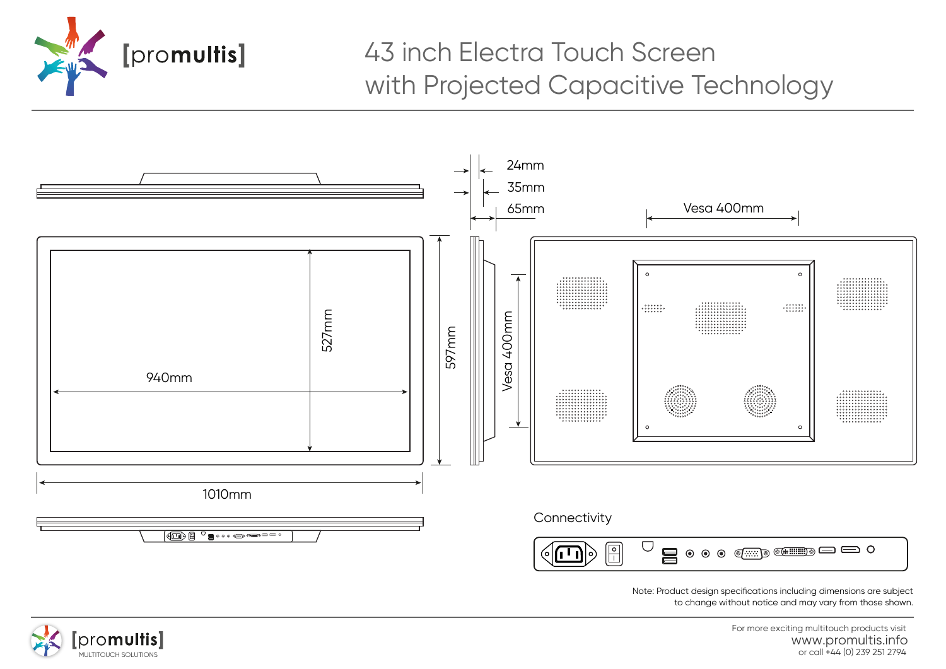

## 43 inch Electra Touch Screen with Projected Capacitive Technology



Note: Product design specifications including dimensions are subject to change without notice and may vary from those shown.

For more exciting multitouch products visit www.promultis.info<br>or call +44 (0) 239 251 2794 MULTITOUCH SOLUTIONS ON A SOLUTIONS ON A SALE OF CALL +44 (0) 239 251 2794

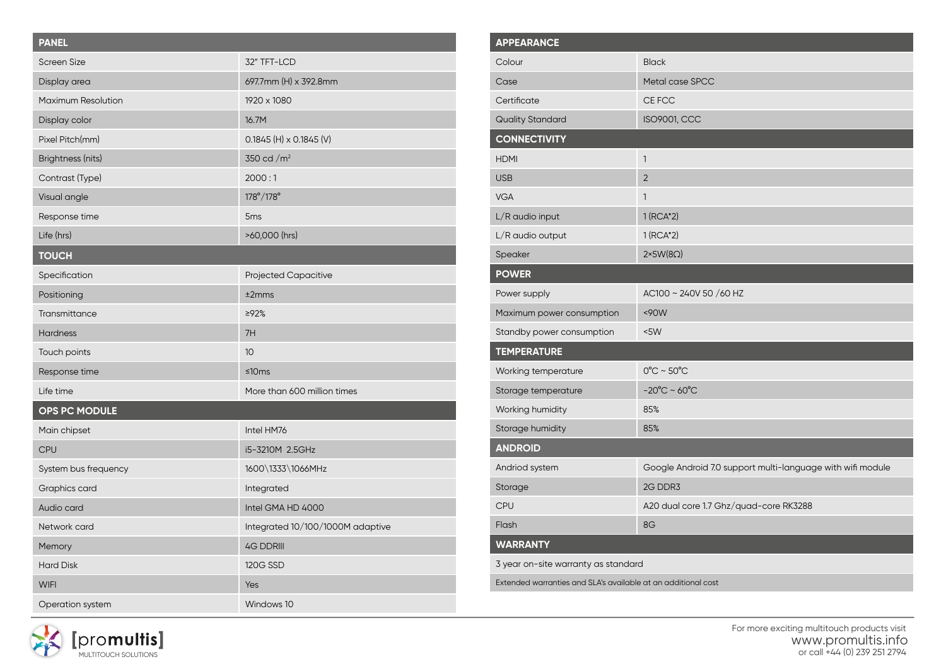| <b>PANEL</b>              |                                  |
|---------------------------|----------------------------------|
| <b>Screen Size</b>        | 32" TFT-LCD                      |
| Display area              | 697.7mm (H) x 392.8mm            |
| <b>Maximum Resolution</b> | 1920 x 1080                      |
| Display color             | 16.7M                            |
| Pixel Pitch(mm)           | $0.1845$ (H) $\times$ 0.1845 (V) |
| Brightness (nits)         | 350 cd / m <sup>2</sup>          |
| Contrast (Type)           | 2000:1                           |
| Visual angle              | 178°/178°                        |
| Response time             | 5 <sub>ms</sub>                  |
| Life (hrs)                | >60,000 (hrs)                    |
| <b>TOUCH</b>              |                                  |
| Specification             | <b>Projected Capacitive</b>      |
| Positioning               | ±2mms                            |
| Transmittance             | ≥92%                             |
| <b>Hardness</b>           | 7H                               |
| Touch points              | 10                               |
| Response time             | ≤10ms                            |
| Life time                 | More than 600 million times      |
| OPS PC MODULE             |                                  |
| Main chipset              | Intel HM76                       |
| CPU                       | i5-3210M 2.5GHz                  |
| System bus frequency      | 1600\1333\1066MHz                |
| Graphics card             | Integrated                       |
| Audio card                | Intel GMA HD 4000                |
| Network card              | Integrated 10/100/1000M adaptive |
| Memory                    | <b>4G DDRIII</b>                 |
| <b>Hard Disk</b>          | <b>120G SSD</b>                  |
| <b>WIFI</b>               | Yes                              |
| <b>Operation system</b>   | Windows 10                       |

| <b>APPEARANCE</b>                                             |                                                            |  |
|---------------------------------------------------------------|------------------------------------------------------------|--|
| Colour                                                        | <b>Black</b>                                               |  |
| Case                                                          | Metal case SPCC                                            |  |
| Certificate                                                   | CE FCC                                                     |  |
| <b>Quality Standard</b>                                       | <b>ISO9001, CCC</b>                                        |  |
| <b>CONNECTIVITY</b>                                           |                                                            |  |
| <b>HDMI</b>                                                   | $\mathbf{1}$                                               |  |
| <b>USB</b>                                                    | $\overline{2}$                                             |  |
| <b>VGA</b>                                                    | 1                                                          |  |
| L/R audio input                                               | $1(RCA*2)$                                                 |  |
| L/R audio output                                              | $1(RCA*2)$                                                 |  |
| Speaker                                                       | $2 \times 5W(8\Omega)$                                     |  |
| <b>POWER</b>                                                  |                                                            |  |
| Power supply                                                  | AC100 ~ 240V 50 /60 HZ                                     |  |
| Maximum power consumption                                     | <90W                                                       |  |
| Standby power consumption                                     | <5W                                                        |  |
| <b>TEMPERATURE</b>                                            |                                                            |  |
| Working temperature                                           | $0^{\circ}$ C ~ 50 $^{\circ}$ C                            |  |
| Storage temperature                                           | $-20^{\circ}$ C ~ 60 $^{\circ}$ C                          |  |
| Working humidity                                              | 85%                                                        |  |
| Storage humidity                                              | 85%                                                        |  |
| <b>ANDROID</b>                                                |                                                            |  |
| Andriod system                                                | Google Android 7.0 support multi-language with wifi module |  |
| Storage                                                       | 2G DDR3                                                    |  |
| CPU                                                           | A20 dual core 1.7 Ghz/quad-core RK3288                     |  |
| Flash                                                         | 8G                                                         |  |
| <b>WARRANTY</b>                                               |                                                            |  |
| 3 year on-site warranty as standard                           |                                                            |  |
| Extended warranties and SLA's available at an additional cost |                                                            |  |